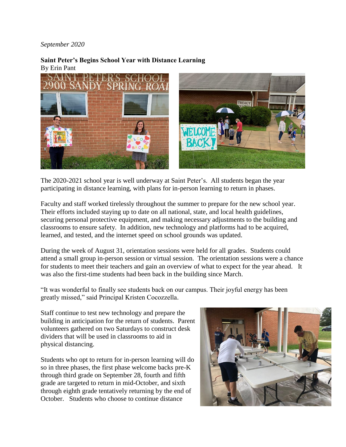## *September 2020*

## **Saint Peter's Begins School Year with Distance Learning** By Erin Pant



The 2020-2021 school year is well underway at Saint Peter's. All students began the year participating in distance learning, with plans for in-person learning to return in phases.

Faculty and staff worked tirelessly throughout the summer to prepare for the new school year. Their efforts included staying up to date on all national, state, and local health guidelines, securing personal protective equipment, and making necessary adjustments to the building and classrooms to ensure safety. In addition, new technology and platforms had to be acquired, learned, and tested, and the internet speed on school grounds was updated.

During the week of August 31, orientation sessions were held for all grades. Students could attend a small group in-person session or virtual session. The orientation sessions were a chance for students to meet their teachers and gain an overview of what to expect for the year ahead. It was also the first-time students had been back in the building since March.

"It was wonderful to finally see students back on our campus. Their joyful energy has been greatly missed," said Principal Kristen Cocozzella.

Staff continue to test new technology and prepare the building in anticipation for the return of students. Parent volunteers gathered on two Saturdays to construct desk dividers that will be used in classrooms to aid in physical distancing.

Students who opt to return for in-person learning will do so in three phases, the first phase welcome backs pre-K through third grade on September 28, fourth and fifth grade are targeted to return in mid-October, and sixth through eighth grade tentatively returning by the end of October. Students who choose to continue distance